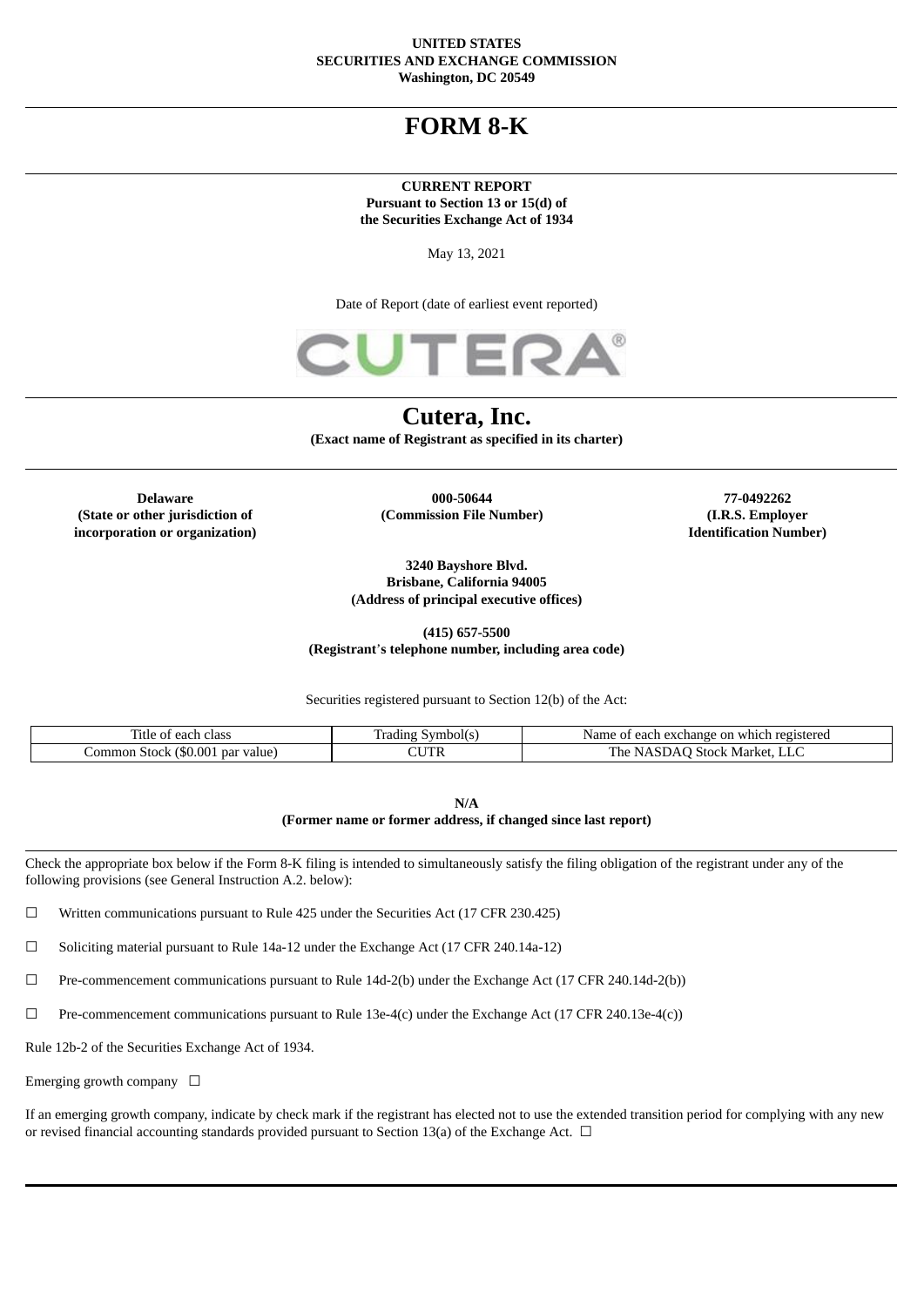#### **UNITED STATES SECURITIES AND EXCHANGE COMMISSION Washington, DC 20549**

# **FORM 8-K**

#### **CURRENT REPORT Pursuant to Section 13 or 15(d) of the Securities Exchange Act of 1934**

May 13, 2021

Date of Report (date of earliest event reported)



# **Cutera, Inc.**

**(Exact name of Registrant as specified in its charter)**

**(State or other jurisdiction of incorporation or organization)**

**Delaware 000-50644 77-0492262 (Commission File Number) (I.R.S. Employer**

**Identification Number)**

**3240 Bayshore Blvd. Brisbane, California 94005 (Address of principal executive offices)**

**(415) 657-5500 (Registrant**'**s telephone number, including area code)**

Securities registered pursuant to Section 12(b) of the Act:

| $-1$<br>class<br>ïtle<br>ea                         | radıng<br>.ymbol(s | registered<br>change on<br>Name<br>eacı.<br>ex<br>which<br>$\cdot$ |
|-----------------------------------------------------|--------------------|--------------------------------------------------------------------|
| \$0.00<br>par value<br>ommon<br>Stock <sub>12</sub> | ם דו<br>I P        | $\sim$ 510 $0^{12}$<br>Market.<br>'he<br>⊣∟⊾                       |

**N/A (Former name or former address, if changed since last report)**

Check the appropriate box below if the Form 8-K filing is intended to simultaneously satisfy the filing obligation of the registrant under any of the following provisions (see General Instruction A.2. below):

☐ Written communications pursuant to Rule 425 under the Securities Act (17 CFR 230.425)

☐ Soliciting material pursuant to Rule 14a-12 under the Exchange Act (17 CFR 240.14a-12)

☐ Pre-commencement communications pursuant to Rule 14d-2(b) under the Exchange Act (17 CFR 240.14d-2(b))

 $\Box$  Pre-commencement communications pursuant to Rule 13e-4(c) under the Exchange Act (17 CFR 240.13e-4(c))

Rule 12b-2 of the Securities Exchange Act of 1934.

Emerging growth company  $\Box$ 

If an emerging growth company, indicate by check mark if the registrant has elected not to use the extended transition period for complying with any new or revised financial accounting standards provided pursuant to Section 13(a) of the Exchange Act.  $\Box$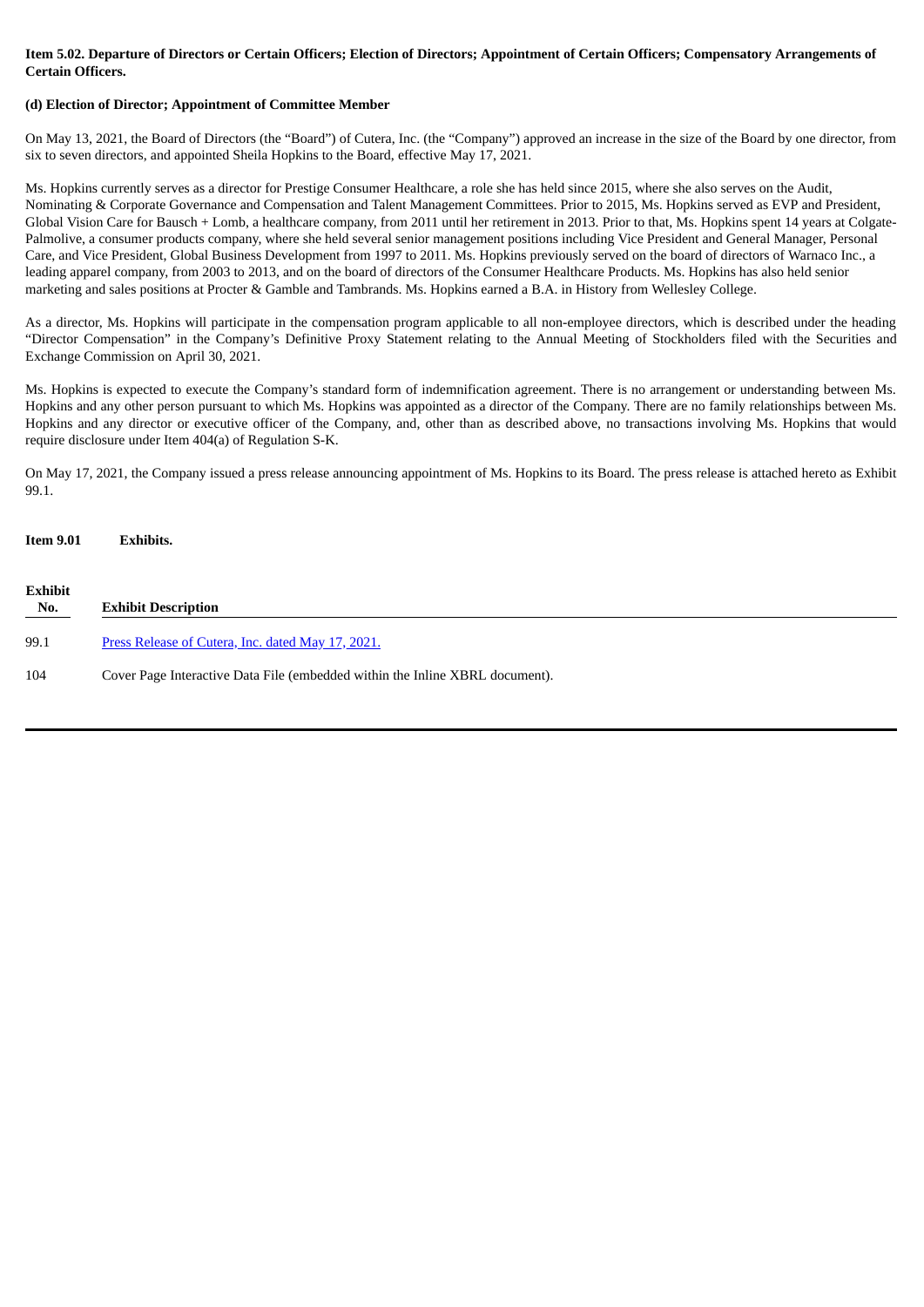## Item 5.02. Departure of Directors or Certain Officers; Election of Directors; Appointment of Certain Officers; Compensatory Arrangements of **Certain Officers.**

## **(d) Election of Director; Appointment of Committee Member**

On May 13, 2021, the Board of Directors (the "Board") of Cutera, Inc. (the "Company") approved an increase in the size of the Board by one director, from six to seven directors, and appointed Sheila Hopkins to the Board, effective May 17, 2021.

Ms. Hopkins currently serves as a director for Prestige Consumer Healthcare, a role she has held since 2015, where she also serves on the Audit, Nominating & Corporate Governance and Compensation and Talent Management Committees. Prior to 2015, Ms. Hopkins served as EVP and President, Global Vision Care for Bausch + Lomb, a healthcare company, from 2011 until her retirement in 2013. Prior to that, Ms. Hopkins spent 14 years at Colgate-Palmolive, a consumer products company, where she held several senior management positions including Vice President and General Manager, Personal Care, and Vice President, Global Business Development from 1997 to 2011. Ms. Hopkins previously served on the board of directors of Warnaco Inc., a leading apparel company, from 2003 to 2013, and on the board of directors of the Consumer Healthcare Products. Ms. Hopkins has also held senior marketing and sales positions at Procter & Gamble and Tambrands. Ms. Hopkins earned a B.A. in History from Wellesley College.

As a director, Ms. Hopkins will participate in the compensation program applicable to all non-employee directors, which is described under the heading "Director Compensation" in the Company's Definitive Proxy Statement relating to the Annual Meeting of Stockholders filed with the Securities and Exchange Commission on April 30, 2021.

Ms. Hopkins is expected to execute the Company's standard form of indemnification agreement. There is no arrangement or understanding between Ms. Hopkins and any other person pursuant to which Ms. Hopkins was appointed as a director of the Company. There are no family relationships between Ms. Hopkins and any director or executive officer of the Company, and, other than as described above, no transactions involving Ms. Hopkins that would require disclosure under Item 404(a) of Regulation S-K.

On May 17, 2021, the Company issued a press release announcing appointment of Ms. Hopkins to its Board. The press release is attached hereto as Exhibit 99.1.

| <b>Item 9.01</b>      | <b>Exhibits.</b>                                                             |
|-----------------------|------------------------------------------------------------------------------|
| <b>Exhibit</b><br>No. | <b>Exhibit Description</b>                                                   |
| 99.1                  | Press Release of Cutera, Inc. dated May 17, 2021.                            |
| 104                   | Cover Page Interactive Data File (embedded within the Inline XBRL document). |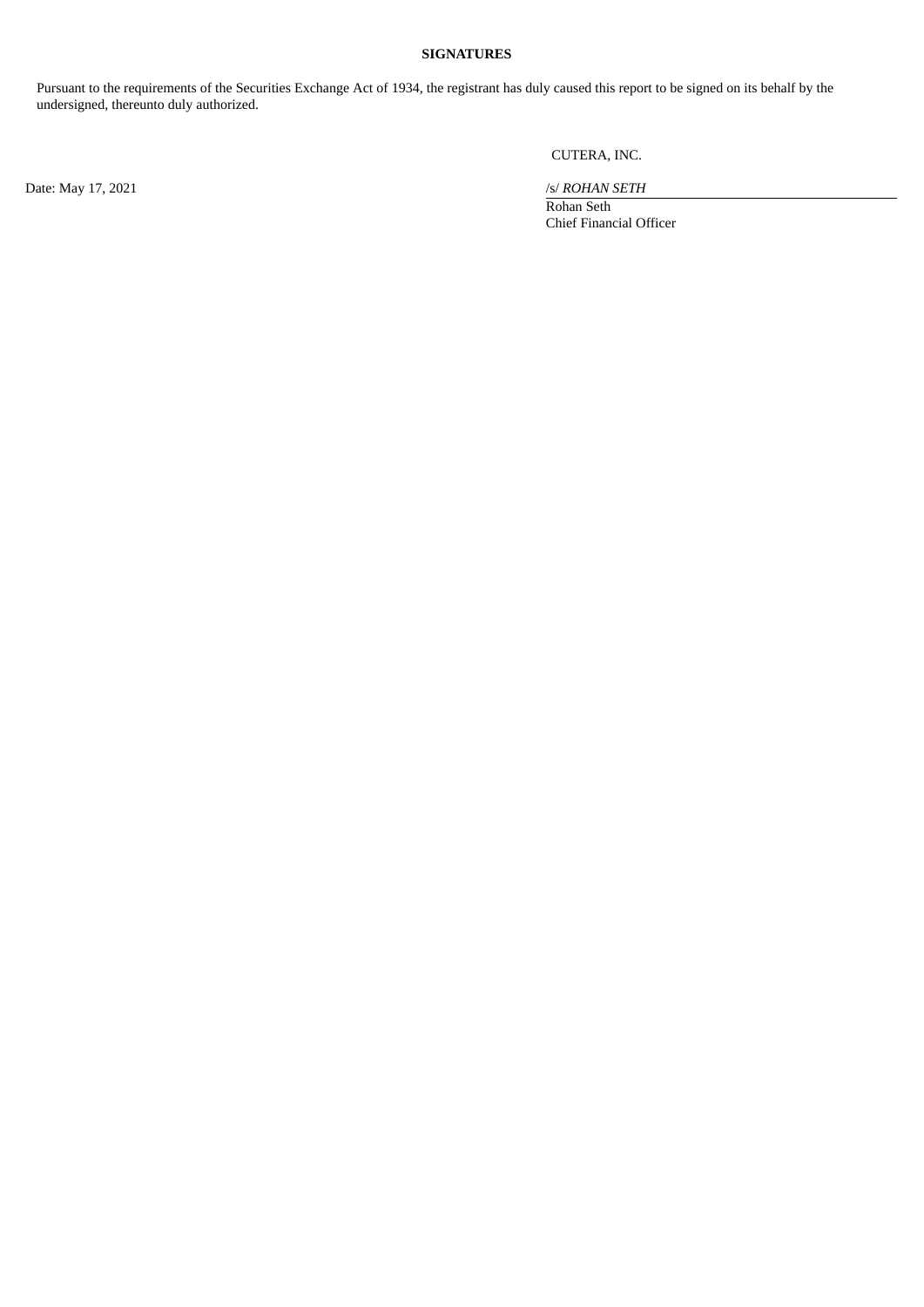# **SIGNATURES**

Pursuant to the requirements of the Securities Exchange Act of 1934, the registrant has duly caused this report to be signed on its behalf by the undersigned, thereunto duly authorized.

CUTERA, INC.

Date: May 17, 2021 /s/ *ROHAN SETH* 

Rohan Seth Chief Financial Officer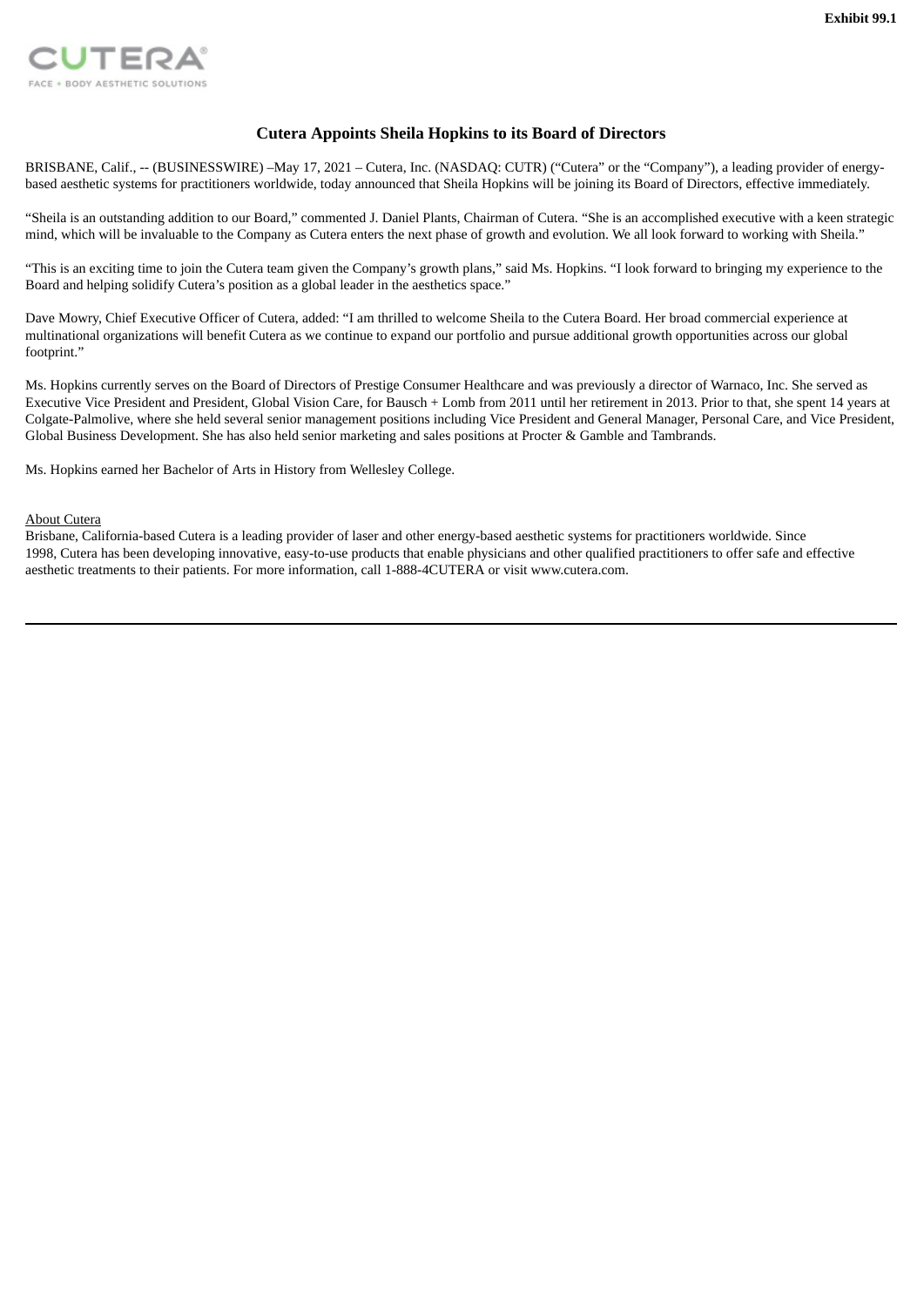<span id="page-3-0"></span>

# **Cutera Appoints Sheila Hopkins to its Board of Directors**

BRISBANE, Calif., -- (BUSINESSWIRE) –May 17, 2021 – Cutera, Inc. (NASDAQ: CUTR) ("Cutera" or the "Company"), a leading provider of energybased aesthetic systems for practitioners worldwide, today announced that Sheila Hopkins will be joining its Board of Directors, effective immediately.

"Sheila is an outstanding addition to our Board," commented J. Daniel Plants, Chairman of Cutera. "She is an accomplished executive with a keen strategic mind, which will be invaluable to the Company as Cutera enters the next phase of growth and evolution. We all look forward to working with Sheila."

"This is an exciting time to join the Cutera team given the Company's growth plans," said Ms. Hopkins. "I look forward to bringing my experience to the Board and helping solidify Cutera's position as a global leader in the aesthetics space."

Dave Mowry, Chief Executive Officer of Cutera, added: "I am thrilled to welcome Sheila to the Cutera Board. Her broad commercial experience at multinational organizations will benefit Cutera as we continue to expand our portfolio and pursue additional growth opportunities across our global footprint."

Ms. Hopkins currently serves on the Board of Directors of Prestige Consumer Healthcare and was previously a director of Warnaco, Inc. She served as Executive Vice President and President, Global Vision Care, for Bausch + Lomb from 2011 until her retirement in 2013. Prior to that, she spent 14 years at Colgate-Palmolive, where she held several senior management positions including Vice President and General Manager, Personal Care, and Vice President, Global Business Development. She has also held senior marketing and sales positions at Procter & Gamble and Tambrands.

Ms. Hopkins earned her Bachelor of Arts in History from Wellesley College.

#### About Cutera

Brisbane, California-based Cutera is a leading provider of laser and other energy-based aesthetic systems for practitioners worldwide. Since 1998, Cutera has been developing innovative, easy-to-use products that enable physicians and other qualified practitioners to offer safe and effective aesthetic treatments to their patients. For more information, call 1-888-4CUTERA or visit www.cutera.com.